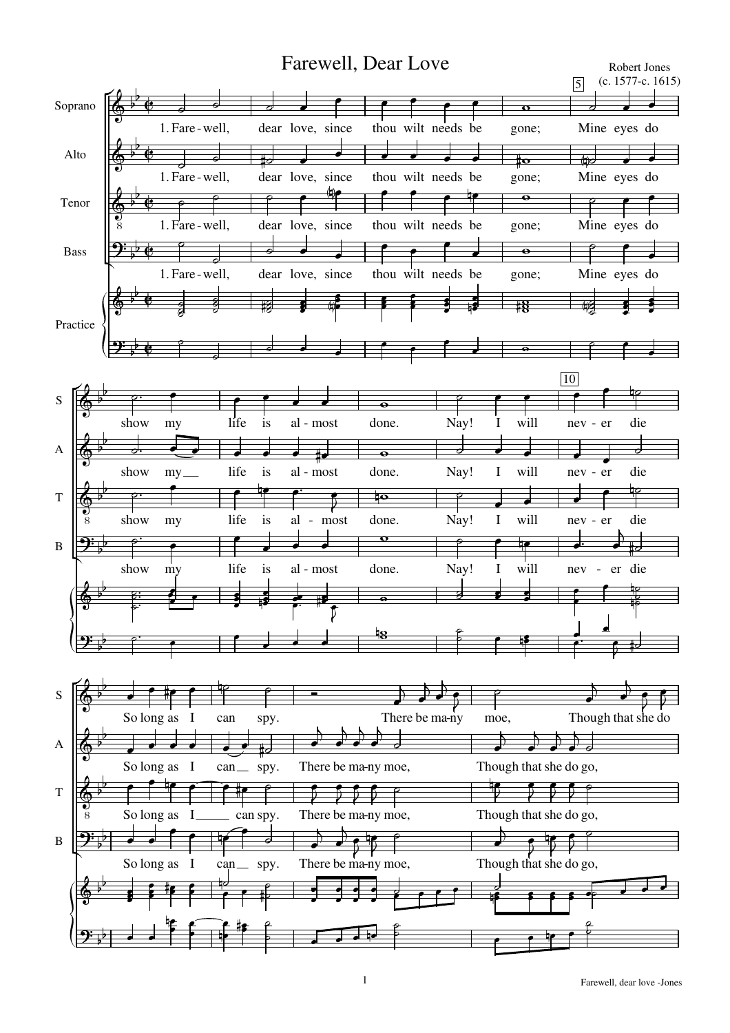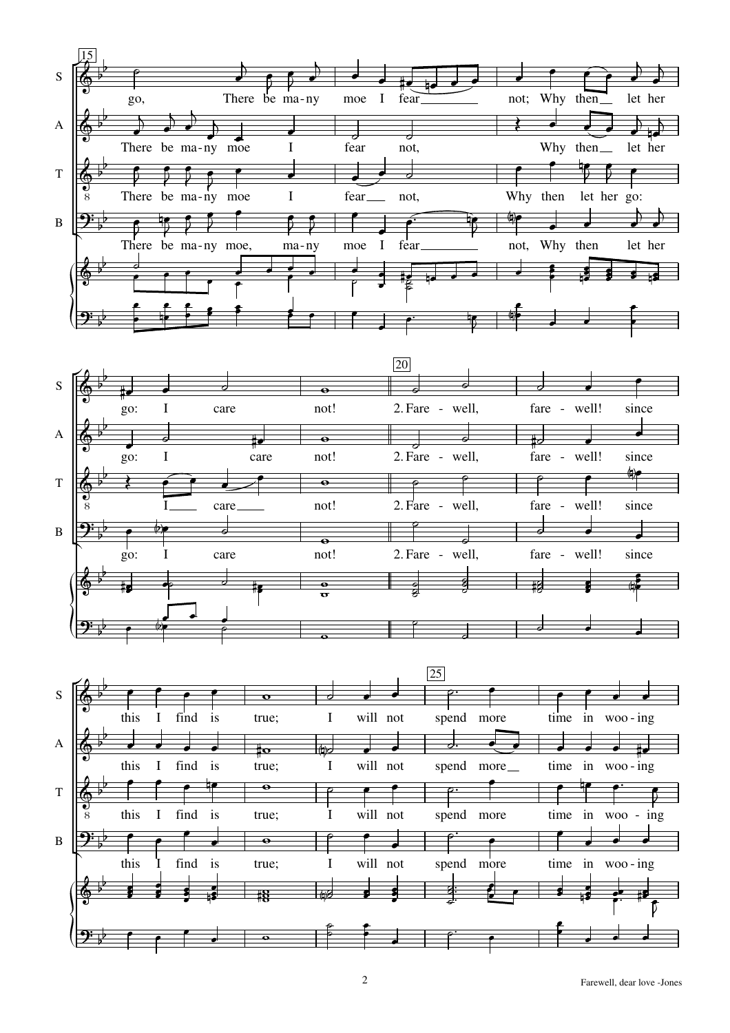